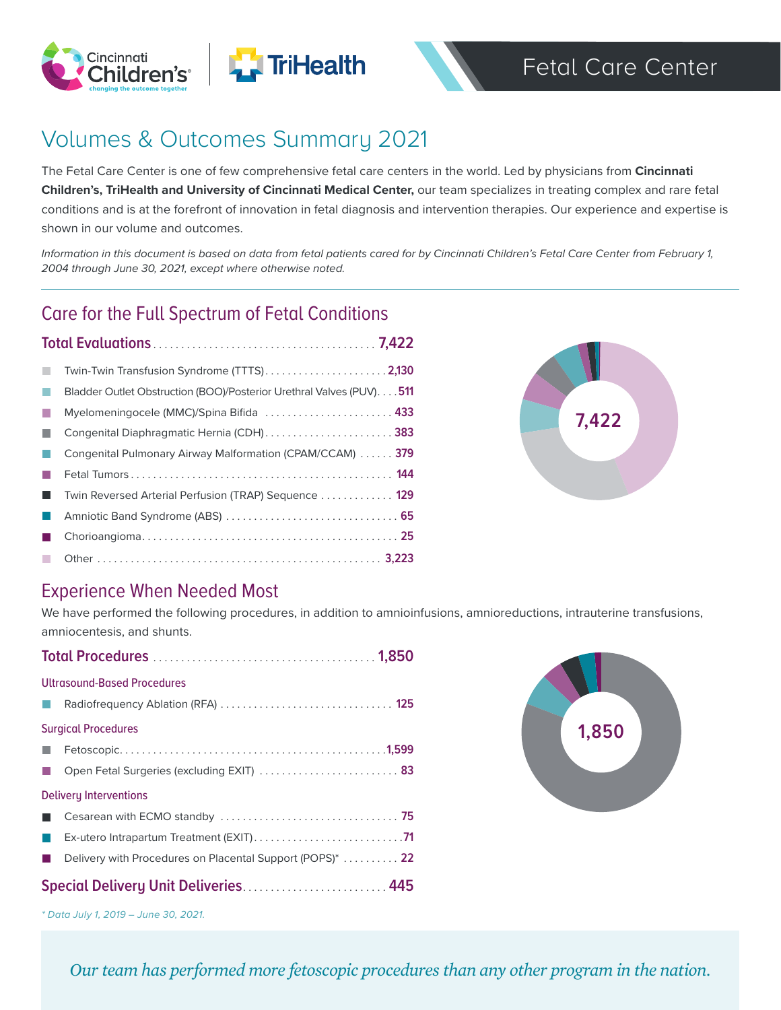





# Volumes & Outcomes Summary 2021

The Fetal Care Center is one of few comprehensive fetal care centers in the world. Led by physicians from **Cincinnati Children's, TriHealth and University of Cincinnati Medical Center,** our team specializes in treating complex and rare fetal conditions and is at the forefront of innovation in fetal diagnosis and intervention therapies. Our experience and expertise is shown in our volume and outcomes.

*Information in this document is based on data from fetal patients cared for by Cincinnati Children's Fetal Care Center from February 1, 2004 through June 30, 2021, except where otherwise noted.*

### Care for the Full Spectrum of Fetal Conditions

| Twin-Twin Transfusion Syndrome (TTTS)2,130                          |
|---------------------------------------------------------------------|
| Bladder Outlet Obstruction (BOO)/Posterior Urethral Valves (PUV)511 |
| Myelomeningocele (MMC)/Spina Bifida  433                            |
| Congenital Diaphragmatic Hernia (CDH)383                            |
| Congenital Pulmonary Airway Malformation (CPAM/CCAM)  379           |
|                                                                     |
| Twin Reversed Arterial Perfusion (TRAP) Sequence  129               |
|                                                                     |
|                                                                     |
|                                                                     |



### Experience When Needed Most

We have performed the following procedures, in addition to amnioinfusions, amnioreductions, intrauterine transfusions, amniocentesis, and shunts.

| Ultrasound-Based Procedures                                          |  |  |
|----------------------------------------------------------------------|--|--|
|                                                                      |  |  |
| <b>Surgical Procedures</b>                                           |  |  |
|                                                                      |  |  |
| Open Fetal Surgeries (excluding EXIT)  83                            |  |  |
| Delivery Interventions                                               |  |  |
|                                                                      |  |  |
|                                                                      |  |  |
| Delivery with Procedures on Placental Support (POPS) <sup>*</sup> 22 |  |  |
| Special Delivery Unit Deliveries 445                                 |  |  |



*\* Data July 1, 2019 – June 30, 2021.*

*Our team has performed more fetoscopic procedures than any other program in the nation.*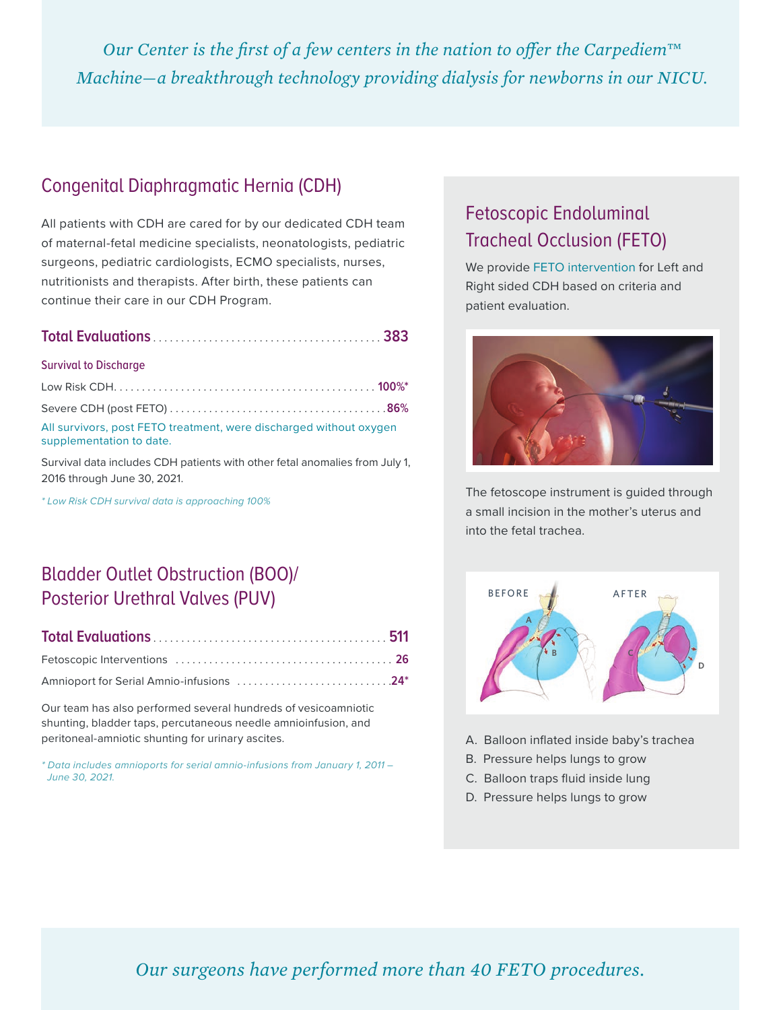*Our Center is the first of a few centers in the nation to offer the Carpediem™ Machine—a breakthrough technology providing dialysis for newborns in our NICU.*

### Congenital Diaphragmatic Hernia (CDH)

All patients with CDH are cared for by our dedicated CDH team of maternal-fetal medicine specialists, neonatologists, pediatric surgeons, pediatric cardiologists, ECMO specialists, nurses, nutritionists and therapists. After birth, these patients can continue their care in our CDH Program.

|--|--|

#### Survival to Discharge

| All survivors, post FETO treatment, were discharged without oxygen |  |
|--------------------------------------------------------------------|--|
| supplementation to date.                                           |  |

Survival data includes CDH patients with other fetal anomalies from July 1, 2016 through June 30, 2021.

*\* Low Risk CDH survival data is approaching 100%*

### Bladder Outlet Obstruction (BOO)/ Posterior Urethral Valves (PUV)

|--|--|--|

| Amnioport for Serial Amnio-infusions 24* |  |
|------------------------------------------|--|

Our team has also performed several hundreds of vesicoamniotic shunting, bladder taps, percutaneous needle amnioinfusion, and peritoneal-amniotic shunting for urinary ascites.

*\* Data includes amnioports for serial amnio-infusions from January 1, 2011 – June 30, 2021.*

### Fetoscopic Endoluminal Tracheal Occlusion (FETO)

We provide FETO intervention for Left and Right sided CDH based on criteria and patient evaluation.



The fetoscope instrument is guided through a small incision in the mother's uterus and into the fetal trachea.



- A. Balloon inflated inside baby's trachea
- B. Pressure helps lungs to grow
- C. Balloon traps fluid inside lung
- D. Pressure helps lungs to grow

*Our surgeons have performed more than 40 FETO procedures.*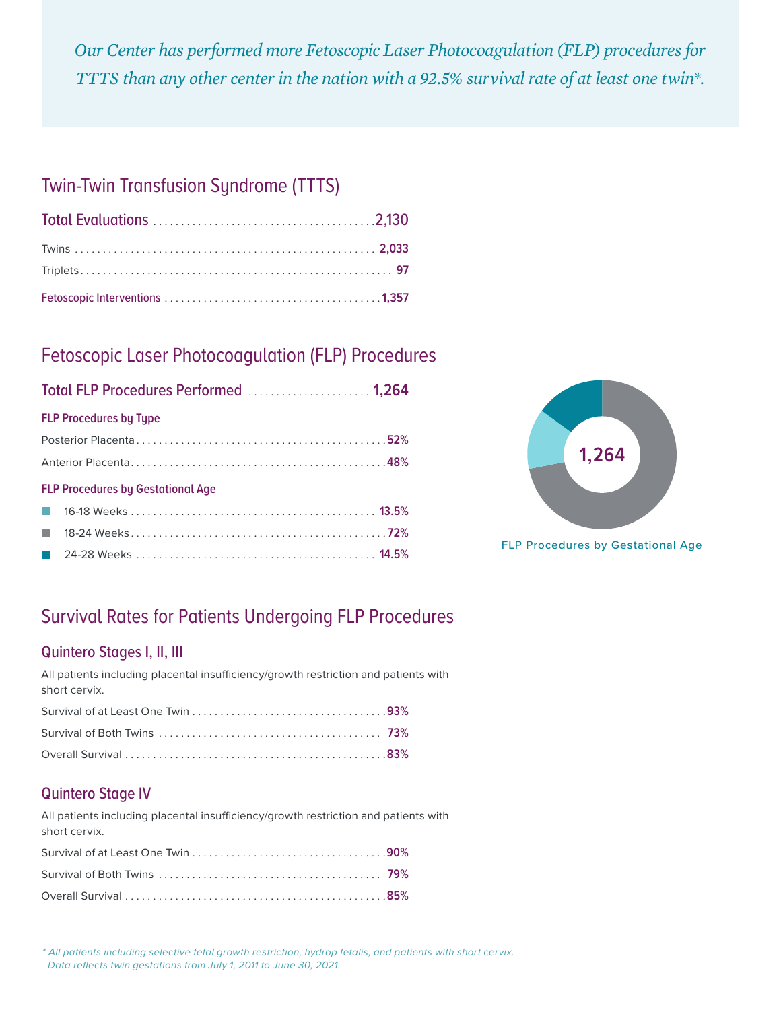*Our Center has performed more Fetoscopic Laser Photocoagulation (FLP) procedures for TTTS than any other center in the nation with a 92.5% survival rate of at least one twin\*.*

### Twin-Twin Transfusion Syndrome (TTTS)

### Fetoscopic Laser Photocoagulation (FLP) Procedures

| Total FLP Procedures Performed  1,264 |  |
|---------------------------------------|--|
|---------------------------------------|--|

#### **FLP Procedures by Type**

#### **FLP Procedures by Gestational Age**



**FLP Procedures by Gestational Age** 

## Survival Rates for Patients Undergoing FLP Procedures

### Quintero Stages I, II, III

All patients including placental insufficiency/growth restriction and patients with short cervix.

| Survival of Both Twins $\ldots \ldots \ldots \ldots \ldots \ldots \ldots \ldots \ldots \ldots \ldots$ 73%                                                                                                                                                                                                                          |  |
|------------------------------------------------------------------------------------------------------------------------------------------------------------------------------------------------------------------------------------------------------------------------------------------------------------------------------------|--|
| Overall Survival $\ldots$ $\ldots$ $\ldots$ $\ldots$ $\ldots$ $\ldots$ $\ldots$ $\ldots$ $\ldots$ $\ldots$ $\ldots$ $\ldots$ $\ldots$ $\ldots$ $\ldots$ $\ldots$ $\ldots$ $\ldots$ $\ldots$ $\ldots$ $\ldots$ $\ldots$ $\ldots$ $\ldots$ $\ldots$ $\ldots$ $\ldots$ $\ldots$ $\ldots$ $\ldots$ $\ldots$ $\ldots$ $\ldots$ $\ldots$ |  |

### Quintero Stage IV

All patients including placental insufficiency/growth restriction and patients with short cervix.

| Overall Survival $\ldots$ $\ldots$ $\ldots$ $\ldots$ $\ldots$ $\ldots$ $\ldots$ $\ldots$ $\ldots$ $\ldots$ $\ldots$ $\ldots$ $\ldots$ $\ldots$ $\ldots$ $\ldots$ $\ldots$ $\ldots$ $\ldots$ $\ldots$ $\ldots$ $\ldots$ $\ldots$ $\ldots$ $\ldots$ $\ldots$ $\ldots$ $\ldots$ $\ldots$ |  |
|---------------------------------------------------------------------------------------------------------------------------------------------------------------------------------------------------------------------------------------------------------------------------------------|--|

*\* All patients including selective fetal growth restriction, hydrop fetalis, and patients with short cervix. Data reflects twin gestations from July 1, 2011 to June 30, 2021.*